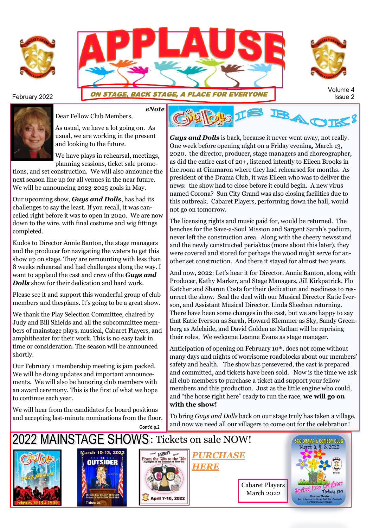





## Volume 4<br>Issue 2 **ON STAGE, BACK STAGE, A PLACE FOR EVERYONE**



Dear Fellow Club Members,

As usual, we have a lot going on. As usual, we are working in the present and looking to the future.

We have plays in rehearsal, meetings, planning sessions, ticket sale promo-

tions, and set construction. We will also announce the next season line up for all venues in the near future. We will be announcing 2023-2025 goals in May.

Our upcoming show, *Guys and Dolls*, has had its challenges to say the least. If you recall, it was cancelled right before it was to open in 2020. We are now down to the wire, with final costume and wig fittings completed.

Kudos to Director Annie Banton, the stage managers and the producer for navigating the waters to get this show up on stage. They are remounting with less than 8 weeks rehearsal and had challenges along the way. I want to applaud the cast and crew of the *Guys and Dolls* show for their dedication and hard work.

Please see it and support this wonderful group of club members and thespians. It's going to be a great show.

We thank the Play Selection Committee, chaired by Judy and Bill Shields and all the subcommittee members of mainstage plays, musical, Cabaret Players, and amphitheater for their work. This is no easy task in time or consideration. The season will be announced shortly.

Our February 1 membership meeting is jam packed. We will be doing updates and important announcements. We will also be honoring club members with an award ceremony. This is the first of what we hope to continue each year.

We will hear from the candidates for board positions and accepting last-minute nominations from the floor.



*Guys and Dolls* is back, because it never went away, not really. One week before opening night on a Friday evening, March 13, 2020, the director, producer, stage managers and choreographer, as did the entire cast of 20+, listened intently to Eileen Brooks in the room at Cimmaron where they had rehearsed for months. As president of the Drama Club, it was Eileen who was to deliver the news: the show had to close before it could begin. A new virus named Corona? Sun City Grand was also closing facilities due to this outbreak. Cabaret Players, performing down the hall, would not go on tomorrow.

The licensing rights and music paid for, would be returned. The benches for the Save-a-Soul Mission and Sargent Sarah's podium, never left the construction area. Along with the cheery newsstand and the newly constructed periaktos (more about this later), they were covered and stored for perhaps the wood might serve for another set construction. And there it stayed for almost two years.

And now, 2022: Let's hear it for Director, Annie Banton, along with Producer, Kathy Marker, and Stage Managers, Jill Kirkpatrick, Flo Katcher and Sharon Costa for their dedication and readiness to resurrect the show. Seal the deal with our Musical Director Katie Iverson, and Assistant Musical Director, Linda Sheehan returning. There have been some changes in the cast, but we are happy to say that Katie Iverson as Sarah, Howard Klemmer as Sky, Sandy Greenberg as Adelaide, and David Golden as Nathan will be reprising their roles. We welcome Leanne Evans as stage manager.

Anticipation of opening on February 10th, does not come without many days and nights of worrisome roadblocks about our members' safety and health. The show has persevered, the cast is prepared and committed, and tickets have been sold. Now is the time we ask all club members to purchase a ticket and support your fellow members and this production. Just as the little engine who could, and "the horse right here" ready to run the race, **we will go on with the show!** 

To bring *Guys and Dolls* back on our stage truly has taken a village, and now we need all our villagers to come out for the celebration!

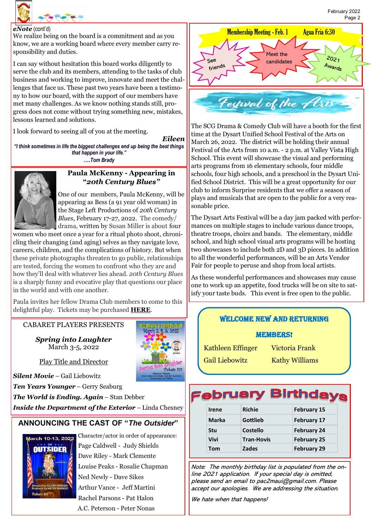

### *eNote* (cont'd)

We realize being on the board is a commitment and as you know, we are a working board where every member carry responsibility and duties.

I can say without hesitation this board works diligently to serve the club and its members, attending to the tasks of club business and working to improve, innovate and meet the challenges that face us. These past two years have been a testimony to how our board, with the support of our members have met many challenges. As we know nothing stands still, progress does not come without trying something new, mistakes, lessons learned and solutions.

I look forward to seeing all of you at the meeting.

*Eileen "I think sometimes in life the biggest challenges end up being the best things that happen in your life."* **….***Tom Brady*



### **Paula McKenny - Appearing in "***20th Century Blues"*

One of our members, Paula McKenny, will be appearing as Bess (a 91 year old woman) in the Stage Left Productions of *20th Century Blues*, February 17-27, 2022. The comedy/ drama, written by Susan Miller is about four

women who meet once a year for a ritual photo shoot, chronicling their changing (and aging) selves as they navigate love, careers, children, and the complications of history. But when these private photographs threaten to go public, relationships are tested, forcing the women to confront who they are and how they'll deal with whatever lies ahead. *20th Century Blues*  is a sharply funny and evocative play that questions our place in the world and with one another.

Paula invites her fellow Drama Club members to come to this delightful play. Tickets may be purchased **[HERE](https://app.arts-people.com/index.php?show=127678)**.

### CABARET PLAYERS PRESENTS

*Spring into Laughter* March 3-5, 2022



Play Title and Director

*Silent Movie* – Gail Liebowitz

*Ten Years Younger* – Gerry Seaburg

*The World is Ending. Again* – Stan Debber

*Inside the Department of the Exterior* – Linda Chesney

### **ANNOUNCING THE CAST OF "***The Outsider***"**



Character/actor in order of appearance: Page Caldwell - Judy Shields Dave Riley - Mark Clemente Louise Peaks - Rosalie Chapman Ned Newly - Dave Sikes Arthur Vance - Jeff Martini Rachel Parsons - Pat Halon A.C. Peterson - Peter Nonas



The SCG Drama & Comedy Club will have a booth for the first time at the Dysart Unified School Festival of the Arts on March 26, 2022. The district will be holding their annual Festival of the Arts from 10 a.m. - 2 p.m. at Valley Vista High School. This event will showcase the visual and performing arts programs from 16 elementary schools, four middle schools, four high schools, and a preschool in the Dysart Unified School District. This will be a great opportunity for our club to inform Surprise residents that we offer a season of plays and musicals that are open to the public for a very reasonable price.

The Dysart Arts Festival will be a day jam packed with performances on multiple stages to include various dance troops, theatre troops, choirs and bands. The elementary, middle school, and high school visual arts programs will be hosting two showcases to include both 2D and 3D pieces. In addition to all the wonderful performances, will be an Arts Vendor Fair for people to peruse and shop from local artists.

As these wonderful performances and showcases may cause one to work up an appetite, food trucks will be on site to satisfy your taste buds. This event is free open to the public.

### WELCOME NEW and returning

### **MEMBERS!**

Kathleen Effinger Victoria Frank

## Gail Liebowitz Kathy Williams

# **February Birthdays**

| <b>Richie</b>     | <b>February 15</b> |
|-------------------|--------------------|
| Gottlieb          | <b>February 17</b> |
| Costello          | <b>February 24</b> |
| <b>Tran-Hovis</b> | <b>February 25</b> |
| <b>Zades</b>      | <b>February 29</b> |
|                   |                    |

Note: The monthly birthday list is populated from the online 2021 application. If your special day is omitted, please send an email to pac2maui@gmail.com. Please accept our apologies. We are addressing the situation.

We hate when that happens!